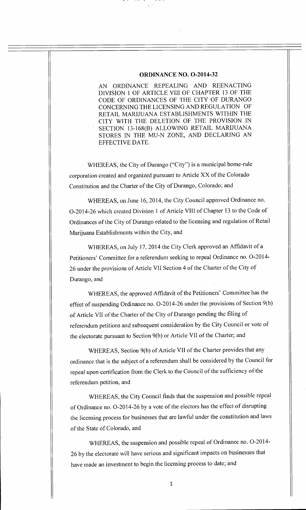#### **ORDINANCE NO. 0-2014-32**

AN ORDINANCE REPEALING AND REENACTING DIVISION 1 OF ARTICLE VIII OF CHAPTER 13 OF THE CODE OF ORDINANCES OF THE CITY OF DURANGO CONCERNING THE LICENSING AND REGULATION OF RETAIL MARIJUANA ESTABLISHMENTS WITHIN THE CITY WITH THE DELETION OF THE PROVISION IN SECTION 13-168(B) ALLOWING RETAIL MARIJUANA STORES IN THE MU-N ZONE, AND DECLARING AN EFFECTIVE DATE.

WHEREAS, the City of Durango ("City") is a municipal home-rule corporation created and organized pursuant to Article XX of the Colorado Constitution and the Charter of the City of Durango, Colorado; and

WHEREAS, on June 16, 2014, the City Council approved Ordinance no. 0-2014-26 which created Division 1 of Article VIII of Chapter 13 to the Code of Ordinances of the City of Durango related to the licensing and regulation of Retail Marijuana Establishments within the City, and

WHEREAS, on July 17, 2014 the City Clerk approved an Affidavit of a Petitioners' Committee for a referendum seeking to repeal Ordinance no. 0-2014- 26 under the provisions of Article VII Section 4 of the Charter of the City of Durango, and

WHEREAS, the approved Affidavit of the Petitioners' Committee has the effect of suspending Ordinance no. 0-2014-26 under the provisions of Section 9(b) of Article VII of the Charter of the City of Durango pending the filing of referendum petitions and subsequent consideration by the City Council or vote of the electorate pursuant to Section 9(b) or Article VII of the Charter; and

WHEREAS, Section 9(b) of Article VII of the Charter provides that any ordinance that is the subject of a referendum shall be considered by the Council for repeal upon certification from the Clerk to the Council of the sufficiency of the referendum petition, and

WHEREAS, the City Council finds that the suspension and possible repeal of Ordinance no. 0-2014-26 by a vote of the electors has the effect of disrupting the licensing process for businesses that are lawful under the constitution and laws of the State of Colorado, and

WHEREAS, the suspension and possible repeal of Ordinance no. 0-2014- 26 by the electorate will have serious and significant impacts on businesses that have made an investment to begin the licensing process to date; and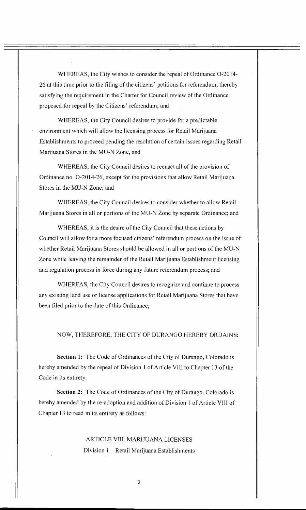WHEREAS, the City wishes to consider the repeal of Ordinance 0-2014- 26 at this time prior to the filing of the citizens' petitions for referendum, thereby satisfying the requirement in the Charter for Council review of the Ordinance proposed for repeal by the Citizens' referendum; and

WHEREAS, the City Council desires to provide for a predictable environment which will allow the licensing process for Retail Marijuana Establishments to proceed pending the resolution of certain issues regarding Retail Marijuana Stores in the MU-N Zone, and

WHEREAS, the City Council desires to reenact all of the provision of Ordinance no. 0-2014-26, except for the provisions that allow Retail Marijuana Stores in the MU-N Zone; and

WHEREAS, the City Council desires to consider whether to allow Retail Marijuana Stores in all or portions of the MU-N Zone by separate Ordinance; and

WHEREAS, it is the desire of the City Council that these actions by Council will allow for a more focused citizens' referendum process on the issue of whether Retail Marijuana Stores should be allowed in all or portions of the MU-N Zone while leaving the remainder of the Retail Marijuana Establishment licensing and regulation process in force during any future referendum process; and

WHEREAS, the City Council desires to recognize and continue to process any existing land use or license applications for Retail Marijuana Stores that have been filed prior to the date of this Ordinance;

#### NOW, THEREFORE, THE CITY OF DURANGO HEREBY ORDAINS:

**Section 1:** The Code of Ordinances of the City of Durango. Colorado is hereby amended by the repeal of Division 1 of Article VIII to Chapter 13 of the Code in its entirety.

**Section 2:** The Code of Ordinances of the City of Durango. Colorado is hereby amended by the re-adoption and addition of Division **l** of Article VIII of Chapter 13 to read in its entirety as follows:

# ARTICLE **VIII.** MARIJUANA LICENSES Division 1. Retail Marijuana Establishments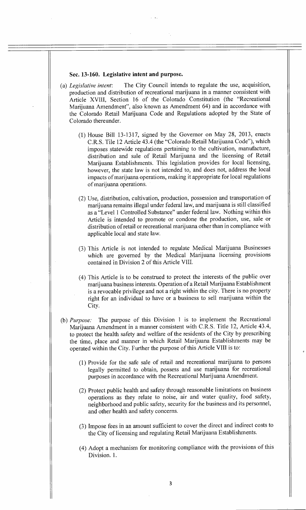#### **Sec. 13-160. Legislative intent and purpose.**

- (a) *Legislative intent:* The City Council intends to regulate the use, acquisition, production and distribution of recreational marijuana in a manner consistent with Article XVIII, Section 16 of the Colorado Constitution (the "Recreational Marijuana Amendment", also known as Amendment 64) and in accordance with the Colorado Retail Marijuana Code and Regulations adopted by the State of Colorado thereunder.
	- (1) House Bill 13-1317, signed by the Governor on May 28, 2013, enacts C.R.S. Tile 12 Article 43.4 (the "Colorado Retail Marijuana Code"), which imposes statewide regulations pertaining to the cultivation, manufacture, distribution and sale of Retail Marijuana and the licensing of Retail Marijuana Establishments. This legislation provides for local licensing, however, the state law is not intended to, and does not, address the local impacts of marijuana operations, making it appropriate for local regulations of marijuana operations.
	- (2) Use, distribution, cultivation, production, possession and transportation of marijuana remains illegal under federal law, and marijuana is still classified as a "Level 1 Controlled Substance" under federal law. Nothing within this Article is intended to promote or condone the production, use, sale or distribution of retail or recreational marijuana other than in compliance with applicable local and state law.
	- (3) This Article is not intended to regulate Medical Marijuana Businesses which are governed by the Medical Marijuana licensing provisions contained in Division 2 of this Article VIII.
	- (4) This Article is to be construed to protect the interests of the public over marijuana business interests. Operation of a Retail Marijuana Establishment is a revocable privilege and not a right within the city. There is no property right for an individual to have or a business to sell marijuana within the City.
- (b) *Purpose:* The purpose of this Division 1 is to implement the Recreational Marijuana Amendment in a manner consistent with C.R.S. Title 12, Article 43.4, to protect the health safety and welfare of the residents of the City by prescribing the time, place and manner in which Retail Marijuana Establishments may be operated within the City. Further the purpose of this Article **VIII** is to:
	- (1) Provide for the safe sale of retail and recreational marijuana to persons legally permitted to obtain, possess and use marijuana for recreational purposes in accordance with the Recreational Marijuana Amendment.
	- (2) Protect public health and safety through reasonable limitations on business operations as they relate to noise, air and water quality, food safety, neighborhood and public safety, security for the business and its personnel, and other health and safety concerns.
	- (3) Impose fees in an amount sufficient to cover the direct and indirect costs to the City of licensing and regulating Retail Marijuana Establishments.
	- (4) Adopt a mechanism for monitoring compliance with the provisions of this Division. 1.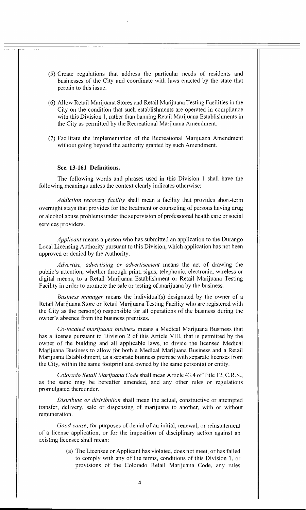- (5) Create regulations that address the particular needs of residents and businesses of the City and coordinate with laws enacted by the state that pertain to this issue.
- (6) Allow Retail Marijuana Stores and Retail Marijuana Testing Facilities in the City on the condition that such establishments are operated in compliance with this Division 1, rather than banning Retail Marijuana Establishments in the City as permitted by the Recreational Marijuana Amendment.
- (7) Facilitate the implementation of the Recreational Marijuana Amendment without going beyond the authority granted by such Amendment.

## **Sec. 13-161 Definitions.**

The following words and phrases used in this Division **I** shall have the following meanings unless the context clearly indicates otherwise:

*Addiction recovery facility* shall mean a facility that provides short-term overnight stays that provides for the treatment or counseling of persons having drug or alcohol abuse problems under the supervision of professional health care or social services providers.

*Applicant* means a person who has submitted an application to the Durango Local Licensing Authority pursuant to this Division, which application has not been approved or denied by the Authority.

*Advertise, advertising or advertisement* means the act of drawing the public's attention, whether through print, signs, telephonic, electronic, wireless or digital means, to a Retail Marijuana Establishment or Retail Marijuana Testing Facility in order to promote the sale or testing of marijuana by the business.

*Business manager* means the individual(s) designated by the owner of a Retail Marijuana Store or Retail Marijuana Testing Facility who are registered with the City as the person(s) responsible for all operations of the business during the owner's absence from the business premises.

*Co-located marijuana business* means a Medical Marijuana Business that has a license pursuant to Division 2 of this Article VIII, that is permitted by the owner of the building and all applicable laws, to divide the licensed Medical Marijuana Business to allow for both a Medical Marijuana Business and a Retail Marijuana Establishment, as a separate business premise with separate licenses from the City, within the same footprint and owned by the same person(s) or entity.

*Colorado Retail Marijuana Code* shall mean Article 43.4 of Title 12, C.R.S., as the same may be hereafter amended, and any other rules or regulations promulgated thereunder.

*Distribute or distribution* shall mean the actual, constructive or attempted transfer, delivery, sale or dispensing of marijuana to another, with or without remuneration.

*Good cause,* for purposes of denial of an initial, renewal, or reinstatement of a license application, or for the imposition of disciplinary action against an existing licensee shall mean:

> (a) The Licensee or Applicant has violated, does not meet, or has failed to comply with any of the terms, conditions of this Division 1, or provisions of the Colorado Retail Marijuana Code, any rules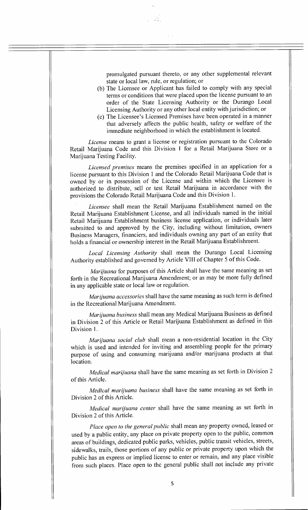promulgated pursuant thereto, or any other supplemental relevant state or local law, rule, or regulation; or

- (b) The Licensee or Applicant has failed to comply with any special terms or conditions that were placed upon the license pursuant to an order of the State Licensing Authority or the Durango Local Licensing Authority or any other local entity with jurisdiction; or
- (c) The Licensee's Licensed Premises have been operated in a manner that adversely affects the public health, safety or welfare of the immediate neighborhood in which the establishment is located.

*License* means to grant a license or registration pursuant to the Colorado Retail Marijuana Code and this Division 1 for a Retail Marijuana Store or a Marijuana Testing Facility.

*Licensed premises* means the premises specified in an application for a license pursuant to this Division 1 and the Colorado Retail Marijuana Code that is owned by or in possession of the License and within which the Licensee is authorized to distribute, sell or test Retail Marijuana in accordance with the provisions the Colorado Retail Marijuana Code and this Division 1.

*Licensee* shall mean the Retail Marijuana Establishment named on the Retail Marijuana Establishment License, and all individuals named in the initial Retail Marijuana Establishment business license application, or individuals later submitted to and approved by the City, including without limitation, owners Business Managers, financiers, and individuals owning any part of an entity that holds a financial or ownership interest in the Retail Marijuana Establishment.

*Local Licensing Authority* shall mean the Durango Local Licensing Authority established and governed by Article VIII of Chapter 5 of this Code.

*Marijuana* for purposes of this Article shall have the same meaning as set forth in the Recreational Marijuana Amendment; or as may be more fully defined in any applicable state or local law or regulation.

*Marijuana accessories* shall have the same meaning as such term is defined in the Recreational Marijuana Amendment.

*Marijuana business* shall mean any Medical Marijuana Business as defined in Division 2 of this Article or Retail Marijuana Establishment as defined in this Division 1.

*Marijuana social club* shall mean a non-residential location in the City which is used and intended for inviting and assembling people for the primary purpose of using and consuming marijuana and/or marijuana products at that location.

*Medical marijuana* shall have the same meaning as set forth in Division 2 of this Article.

*Medical marijuana business* shall have the same meaning as set forth in Division 2 of this Article.

*Medical marijuana center* shall have the same meaning as set forth in Division 2 of this Article.

*Place open to the general public* shall mean any property owned, leased or used by a public entity, any place on private property open to the public, common areas of buildings, dedicated public parks, vehicles, public transit vehicles, streets, sidewalks, trails, those portions of any public or private property upon which the public has an express or implied license to enter or remain, and any place visible from such places. Place open to the general public shall not include any private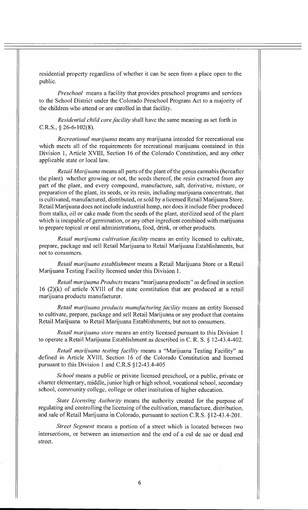residential property regardless of whether it can be seen from a place open to the public.

*Preschool* means a facility that provides preschool programs and services to the School District under the Colorado Preschool Program Act to a majority of the children who attend or are enrolled in that facility.

*Residential child care facility* shall have the same meaning as set forth in C.R.S., § 26-6-102(8).

*Recreational marijuana* means any marijuana intended for recreational use which meets all of the requirements for recreational marijuana contained in this Division 1, Article XVIII, Section 16 of the Colorado Constitution, and any other applicable state or local law.

*Retail Marijuana* means all parts of the plant of the genus cannabis (hereafter the plant) whether growing or not, the seeds thereof, the resin extracted from any part of the plant, and every compound, manufacture, salt, derivative, mixture, or preparation of the plant, its seeds, or its resin, including marijuana concentrate, that is cultivated, manufactured, distributed, or sold by a licensed Retail Marijuana Store. Retail Marijuana does not include industrial hemp, nor does it include fiber produced from stalks, oil or cake made from the seeds of the plant, sterilized seed of the plant which is incapable of germination, or any other ingredient combined with marijuana to prepare topical or oral administrations, food, drink, or other products.

*Retail marijuana cultivation .facility* means an entity licensed to cultivate, prepare, package and sell Retail Marijuana to Retail Marijuana Establishments, but not to consumers.

*Retail marijuana establishment* means a Retail Marijuana Store or a Retail Marijuana Testing Facility licensed under this Division 1.

*Retail marijuana Products* means "marijuana products" as defined in section  $16$  (2)(k) of article XVIII of the state constitution that are produced at a retail marijuana products manufacturer.

*Retail marijuana products manirfacturing Acility* means an entity licensed to cultivate, prepare, package and sell Retail Marijuana or any product that contains Retail Marijuana to Retail Marijuana Establishments, but not to consumers.

*Retail marijuana store* means an entity licensed pursuant to this Division 1 to operate a Retail Marijuana Establishment as described in C. R. S. § 12-43.4-402.

*Retail marijuana testing fiwility* means a "Marijuana Testing Facility" as defined in Article XVIII, Section 16 of the Colorado Constitution and licensed pursuant to this Division 1 and C.R.S §12-43.4-405

*School* means a public or private licensed preschool, or a public, private or charter elementary, middle, junior high or high school, vocational school, secondary school, community college, college or other institution of higher education.

*State Licensing Authority* means the authority created for the purpose of regulating and controlling the licensing of the cultivation, manufacture, distribution, and sale of Retail Marijuana in Colorado, pursuant to section C.R.S. §12-43.4-201.

*Street Segment* means a portion of a street which is located between two intersections, or between an intersection and the end of a cul de sac or dead end street.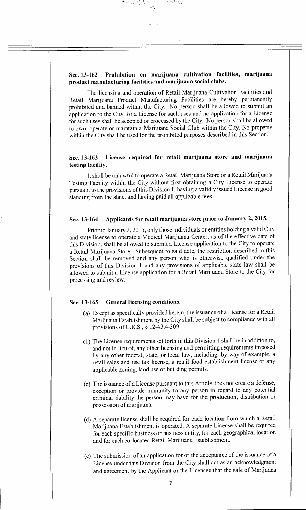## **Sec. 13-162 Prohibition on marijuana cultivation facilities, marijuana product manufacturing facilities and marijuana social clubs.**

The licensing and operation of Retail Marijuana Cultivation Facilities and Retail Marijuana Product Manufacturing Facilities are hereby permanently prohibited and banned within the City. No person shall be allowed to submit an application to the City for a License for such uses and no application for a License for such uses shall be accepted or processed by the City. No person shall be allowed to own, operate or maintain a Marijuana Social Club within the City. No property within the City shall be used for the prohibited purposes described in this Section.

## **Sec. 13-163 License required for retail marijuana store and marijuana testing facility.**

It shall be unlawful to operate a Retail Marijuana Store or a Retail Marijuana Testing Facility within the City without first obtaining a City License to operate pursuant to the provisions of this Division 1, having a validly issued License in good standing from the state, and having paid all applicable fees.

## **Sec. 13-164 Applicants for retail marijuana store prior to January 2, 2015.**

Prior to January 2,2015, only those individuals or entities holding a valid City and state license to operate a Medical Marijuana Center, as of the effective date of this Division, shall be allowed to submit a License application to the City to operate a Retail Marijuana Store. Subsequent to said date, the restriction described in this Section shall be removed and any person who is otherwise qualified under the provisions of this Division 1 and any provisions of applicable state law shall be allowed to submit a License application for a Retail Marijuana Store to the City for processing and review.

#### **Sec. 13-165 General licensing conditions.**

- (a) Except as specifically provided herein, the issuance of a License for a Retail Marijuana Establishment by the City shall be subject to compliance with all provisions of C.R.S., § 12-43.4-309.
- (b) The License requirements set forth in this Division 1 shall be in addition to, and not in lieu of, any other licensing and permitting requirements imposed by any other federal, state, or local law, including, by way of example, a retail sales and use tax license, a retail food establishment license or any applicable zoning, land use or building permits.
- (c) The issuance of a License pursuant to this Article does not create a defense, exception or provide immunity to any person in regard to any potential criminal liability the person may have for the production, distribution or possession of marijuana.
- (d) A separate license shall be required for each location from which a Retail Marijuana Establishment is operated. A separate License shall be required for each specific business or business entity, for each geographical location and for each co-located Retail Marijuana Establishment.
- (e) The submission of an application for or the acceptance of the issuance of a License under this Division from the City shall act as an acknowledgment and agreement by the Applicant or the Licensee that the sale of Marijuana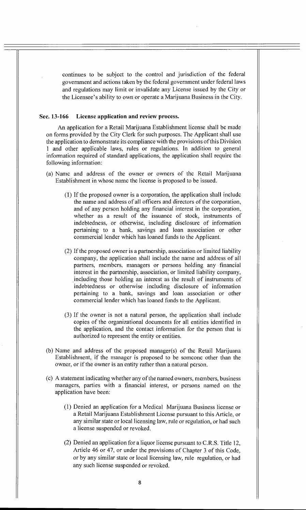continues to be subject to the control and jurisdiction of the federal government and actions taken by the federal government under federal laws and regulations may limit or invalidate any License issued by the City or the Licensee's ability to own or operate a Marijuana Business in the City.

#### **Sec. 13-166 License application and review process.**

An application for a Retail Marijuana Establishment license shall be made on forms provided by the City Clerk for such purposes. The Applicant shall use the application to demonstrate its compliance with the provisions of this Division **<sup>1</sup>**and other applicable laws, rules or regulations. In addition to general information required of standard applications, the application shall require the following information:

- (a) Name and address of the owner or owners of the Retail Marijuana Establishment in whose name the license is proposed to be issued.
	- (1) If the proposed owner is a corporation, the application shall include the name and address of all officers and directors of the corporation, and of any person holding any financial interest in the corporation, whether as a result of the issuance of stock, instruments of indebtedness, or otherwise, including disclosure of information pertaining to a bank, savings and loan association or other commercial lender which has loaned funds to the Applicant.
	- (2) If the proposed owner is a partnership, association or limited liability company, the application shall include the name and address of all partners, members, managers or persons holding any financial interest in the partnership, association, or limited liability company, including those holding an interest as the result of instruments of indebtedness or otherwise including disclosure of information pertaining to a bank, savings and loan association or other commercial lender which has loaned funds to the Applicant.
	- (3) If the owner is not a natural person, the application shall include copies of the organizational documents for all entities identified in the application, and the contact information for the person that is authorized to represent the entity or entities.
- (b) Name and address of the proposed manager(s) of the Retail Marijuana Establishment, if the manager is proposed to be someone other than the owner, or if the owner is an entity rather than a natural person.
- (c) A statement indicating whether any of the named owners, members, business managers, parties with a financial interest, or persons named on the application have been:
	- (1) Denied an application for a Medical Marijuana Business license or a Retail Marijuana Establishment License pursuant to this Article, or any similar state or local licensing law, rule or regulation, or had such a license suspended or revoked.
	- (2) Denied an application for a liquor license pursuant to C.R.S. Title 12, Article 46 or 47, or under the provisions of Chapter 3 of this Code, or by any similar state or local licensing law, rule regulation, or had any such license suspended or revoked.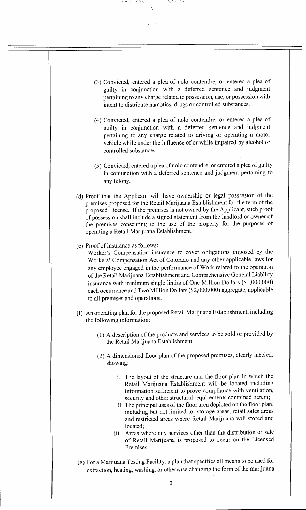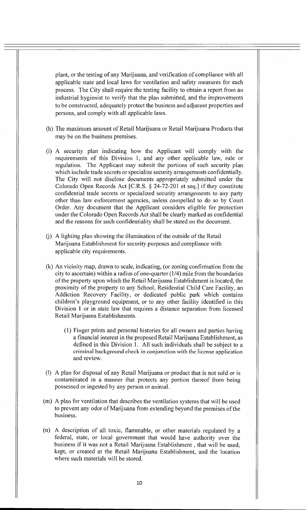plant, or the testing of any Marijuana, and verification of compliance with all applicable state and local laws for ventilation and safety measures for each process. The City shall require the testing facility to obtain a report from an industrial hygienist to verify that the plan submitted, and the improvements to be constructed, adequately protect the business and adjacent properties and persons, and comply with all applicable laws.

- (h) The maximum amount of Retail Marijuana or Retail Marijuana Products that may be on the business premises.
- (i) A security plan indicating how the Applicant will comply with the requirements of this Division 1, and any other applicable law, rule or regulation. The Applicant may submit the portions of such security plan which include trade secrets or specialize security arrangements confidentially. The City will not disclose documents appropriately submitted under the Colorado Open Records Act [C.R.S. § 24-72-201 et seq.] if they constitute confidential trade secrets or specialized security arrangements to any party other than law enforcement agencies, unless compelled to do so by Court Order. Any document that the Applicant considers eligible for protection under the Colorado Open Records Act shall be clearly marked as confidential and the reasons for such confidentiality shall be stated on the document.
- (j) A lighting plan showing the illumination of the outside of the Retail Marijuana Establishment for security purposes and compliance with applicable city requirements.
- (k) An vicinity map, drawn to scale, indicating, (or zoning confirmation from the city to ascertain) within a radius of one-quarter (1/4) mile from the boundaries of the property upon which the Retail Marijuana Establishment is located, the proximity of the property to any School, Residential Child Care Facility, an Addiction Recovery Facility, or dedicated public park which contains children's playground equipment, or to any other facility identified in this Division 1 or in state law that requires a distance separation from licensed Retail Marijuana Establishments.
	- (1) Finger prints and personal histories for all owners and parties having a financial interest in the proposed Retail Marijuana Establishment, as defined in this Division 1. All such individuals shall be subject to a criminal background check in conjunction with the license application and review.
- (I) A plan for disposal of any Retail Marijuana or product that is not sold or is contaminated in a manner that protects any portion thereof from being possessed or ingested by any person or animal.
- (m) A plan for ventilation that describes the ventilation systems that will be used to prevent any odor of Marijuana from extending beyond the premises of the business.
- (n) A description of all toxic, flammable, or other materials regulated by a federal, state, or local government that would have authority over the business if it was not a Retail Marijuana Establishment, that will be used, kept, or created at the Retail Marijuana Establishment, and the location where such materials will be stored.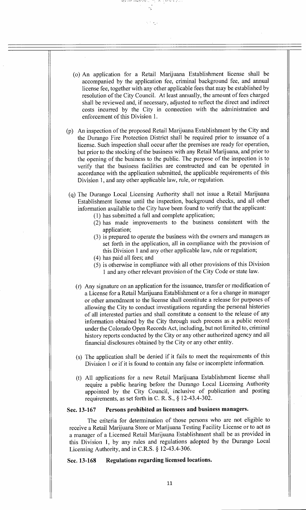

والمستعملة المحافر والمساح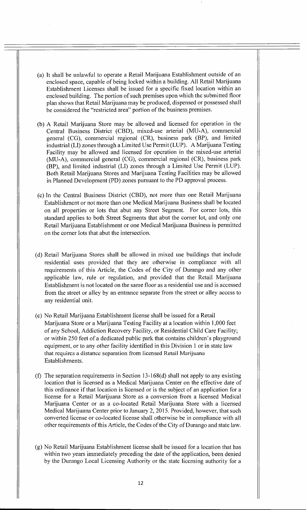- (a) It shall be unlawful to operate a Retail Marijuana Establishment outside of an enclosed space, capable of being locked within a building. All Retail Marijuana Establishment Licenses shall be issued for a specific fixed location within an enclosed building. The portion of such premises upon which the submitted floor plan shows that Retail Marijuana may be produced, dispensed or possessed shall be considered the "restricted area" portion of the business premises.
- (b) A Retail Marijuana Store may be allowed and licensed for operation in the Central Business District (CBD), mixed-use arterial (MU-A), commercial general (CG), commercial regional (CR), business park (BP), and limited industrial (LI) zones through a Limited Use Permit (LUP). A Marijuana Testing Facility may be allowed and licensed for operation in the mixed-use arterial (MU-A), commercial general (CG), commercial regional (CR), business park (BP), and limited industrial (LI) zones through a Limited Use Permit (LUP). Both Retail Marijuana Stores and Marijuana Testing Facilities may be allowed in Planned Development (PD) zones pursuant to the PD approval process.
- (c) In the Central Business District (CBD), not more than one Retail Marijuana Establishment or not more than one Medical Marijuana Business shall be located on all properties or lots that abut any Street Segment. For corner lots, this standard applies to both Street Segments that abut the corner lot, and only one Retail Marijuana Establishment or one Medical Marijuana Business is permitted on the corner lots that abut the intersection.
- (d) Retail Marijuana Stores shall be allowed in mixed use buildings that include residential uses provided that they are otherwise in compliance with all requirements of this Article, the Codes of the City of Durango and any other applicable law, rule or regulation, and provided that the Retail Marijuana Establishment is not located on the same floor as a residential use and is accessed from the street or alley by an entrance separate from the street or alley access to any residential unit.
- (e) No Retail Marijuana Establishment license shall be issued for a Retail Marijuana Store or a Marijuana Testing Facility at a location within 1,000 feet of any School, Addiction Recovery Facility, or Residential Child Care Facility; or within 250 feet of a dedicated public park that contains children's playground equipment, or to any other facility identified in this Division 1 or in state law that requires a distance separation from licensed Retail Marijuana Establishments.
- (f) The separation requirements in Section 13-168(d) shall not apply to any existing location that is licensed as a Medical Marijuana Center on the effective date of this ordinance if that location is licensed or is the subject of an application for a license for a Retail Marijuana Store as a conversion from a licensed Medical Marijuana Center or as a co-located Retail Marijuana Store with a licensed Medical Marijuana Center prior to January 2, 2015. Provided, however, that such converted license or co-located license shall otherwise be in compliance with all other requirements of this Article, the Codes of the City of Durango and state law.
- (g) No Retail Marijuana Establishment license shall be issued for a location that has within two years immediately preceding the date of the application, been denied by the Durango Local Licensing Authority or the state licensing authority for a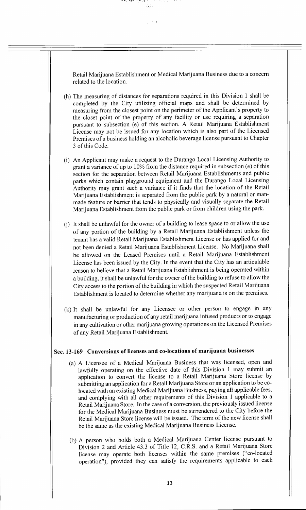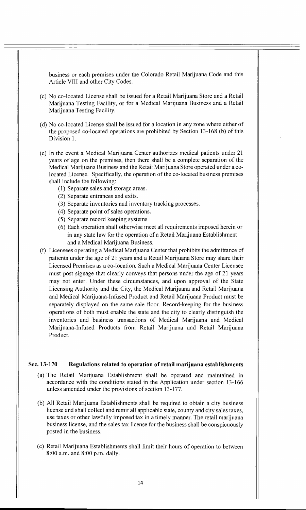business or each premises under the Colorado Retail Marijuana Code and this Article VIII and other City Codes.

- (c) No co-located License shall be issued for a Retail Marijuana Store and a Retail Marijuana Testing Facility, or for a Medical Marijuana Business and a Retail Marijuana Testing Facility.
- (d) No co-located License shall be issued for a location in any zone where either of the proposed co-located operations are prohibited by Section 13-168 (b) of this Division 1.
- (e) In the event a Medical Marijuana Center authorizes medical patients under 21 years of age on the premises, then there shall be a complete separation of the Medical Marijuana Business and the Retail Marijuana Store operated under a colocated License. Specifically, the operation of the co-located business premises shall include the following:
	- (1) Separate sales and storage areas.
	- (2) Separate entrances and exits.
	- (3) Separate inventories and inventory tracking processes.
	- (4) Separate point of sales operations.
	- (5) Separate record keeping systems.
	- (6) Each operation shall otherwise meet all requirements imposed herein or in any state law for the operation of a Retail Marijuana Establishment and a Medical Marijuana Business.
- (f) Licensees operating a Medical Marijuana Center that prohibits the admittance of patients under the age of 21 years and a Retail Marijuana Store may share their Licensed Premises as a co-location. Such a Medical Marijuana Center Licensee must post signage that clearly conveys that persons under the age of 21 years may not enter. Under these circumstances, and upon approval of the State Licensing Authority and the City, the Medical Marijuana and Retail Marijuana and Medical Marijuana-Infused Product and Retail Marijuana Product must be separately displayed on the same sale floor. Record-keeping for the business operations of both must enable the state and the city to clearly distinguish the inventories and business transactions of Medical Marijuana and Medical Marijuana-Infused Products from Retail Marijuana and Retail Marijuana Product.

#### **Sec. 13-170 Regulations related to operation of retail marijuana establishments**

- (a) The Retail Marijuana Establishment shall be operated and maintained in accordance with the conditions stated in the Application under section 13-166 unless amended under the provisions of section 13-177.
- (b) All Retail Marijuana Establishments shall be required to obtain a city business license and shall collect and remit all applicable state, county and city sales taxes, use taxes or other lawfully imposed tax in a timely manner. The retail marijuana business license, and the sales tax license for the business shall be conspicuously posted in the business.
- (c) Retail Marijuana Establishments shall limit their hours of operation to between 8:00 a.m. and 8:00 p.m. daily.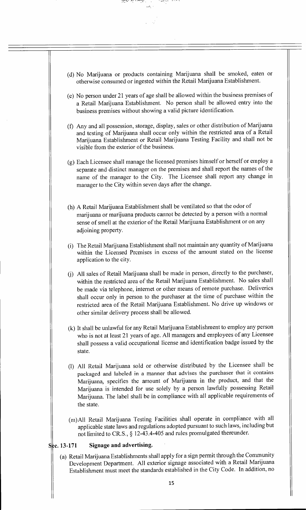

ಸರ್ಕ್ ಪ್ರಿಯಾ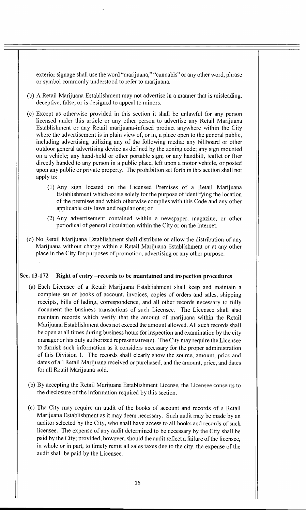exterior signage shall use the word "marijuana," "cannabis" or any other word, phrase or symbol commonly understood to refer to marijuana.

- (b) A Retail Marijuana Establishment may not advertise in a manner that is misleading, deceptive, false, or is designed to appeal to minors.
- (c) Except as otherwise provided in this section it shall be unlawful for any person licensed under this article or any other person to advertise any Retail Marijuana Establishment or any Retail marijuana-infused product anywhere within the City where the advertisement is in plain view of, or in, a place open to the general public, including advertising utilizing any of the following media: any billboard or other outdoor general advertising device as defined by the zoning code; any sign mounted on a vehicle; any hand-held or other portable sign; or any handbill, leaflet or flier directly handed to any person in a public place, left upon a motor vehicle, or posted upon any public or private property. The prohibition set forth in this section shall not apply to:
	- (1) Any sign located on the Licensed Premises of a Retail Marijuana Establishment which exists solely for the purpose of identifying the location of the premises and which otherwise complies with this Code and any other applicable city laws and regulations; or
	- (2) Any advertisement contained within a newspaper, magazine, or other periodical of general circulation within the City or on the internet.
- (d) No Retail Marijuana Establishment shall distribute or allow the distribution of any Marijuana without charge within a Retail Marijuana Establishment or at any other place in the City for purposes of promotion, advertising or any other purpose.

## **Sec. 13-172 Right of entry —records to be maintained and inspection procedures**

- (a) Each Licensee of a Retail Marijuana Establishment shall keep and maintain a complete set of books of account, invoices, copies of orders and sales, shipping receipts, bills of lading, correspondence, and all other records necessary to fully document the business transactions of such Licensee. The Licensee shall also maintain records which verify that the amount of marijuana within the Retail Marijuana Establishment does not exceed the amount allowed. All such records shall be open at all times during business hours for inspection and examination by the city manager or his duly authorized representative(s). The City may require the Licensee to furnish such information as it considers necessary for the proper administration of this Division **I.** The records shall clearly show the source, amount, price and dates of all Retail Marijuana received or purchased, and the amount, price, and dates for all Retail Marijuana sold.
- (b) By accepting the Retail Marijuana Establishment License, the Licensee consents to the disclosure of the information required by this section.
- (c) The City may require an audit of the books of account and records of a Retail Marijuana Establishment as it may deem necessary. Such audit may be made by an auditor selected by the City, who shall have access to all books and records of such licensee. The expense of any audit determined to be necessary by the City shall be paid by the City; provided, however, should the audit reflect a failure of the licensee, in whole or in part, to timely remit all sales taxes due to the city, the expense of the audit shall be paid by the Licensee.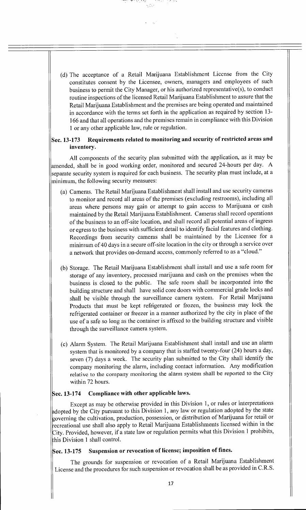(d) The acceptance of a Retail Marijuana Establishment License from the City constitutes consent by the Licensee, owners, managers and employees of such business to permit the City Manager, or his authorized representative(s), to conduct routine inspections of the licensed Retail Marijuana Establishment to assure that the Retail Marijuana Establishment and the premises are being operated and maintained in accordance with the terms set forth in the application as required by section 13- 166 and that all operations and the premises remain in compliance with this Division **<sup>1</sup>**or any other applicable law, rule or regulation.

## **Sec. 13-173 Requirements related to monitoring and security of restricted areas and inventory.**

All components of the security plan submitted with the application, as it may be amended, shall be in good working order, monitored and secured 24-hours per day. A separate security system is required for each business. The security plan must include, at a minimum, the following security measures:

- (a) Cameras. The Retail Marijuana Establishment shall install and use security cameras to monitor and record all areas of the premises (excluding restrooms), including all areas where persons may gain or attempt to gain access to Marijuana or cash maintained by the Retail Marijuana Establishment. Cameras shall record operations of the business to an off-site location, and shall record all potential areas of ingress or egress to the business with sufficient detail to identify facial features and clothing. Recordings from security cameras shall be maintained by the Licensee for a minimum of 40 days in a secure off-site location in the city or through a service over a network that provides on-demand access, commonly referred to as a "cloud."
- (b) Storage. The Retail Marijuana Establishment shall install and use a safe room for storage of any inventory, processed marijuana and cash on the premises when the business is closed to the public. The safe room shall be incorporated into the building structure and shall have solid core doors with commercial grade locks and shall be visible through the surveillance camera system. For Retail Marijuana Products that must be kept refrigerated or frozen, the business may lock the refrigerated container or freezer in a manner authorized by the city in place of the use of a safe so long as the container is affixed to the building structure and visible through the surveillance camera system.
- (c) Alarm System. The Retail Marijuana Establishment shall install and use an alarm system that is monitored by a company that is staffed twenty-four (24) hours a day, seven (7) days a week. The security plan submitted to the City shall identify the company monitoring the alarm, including contact information. Any modification relative to the company monitoring the alarm system shall be reported to the City within 72 hours.

# **cc. 13-174 Compliance with other applicable laws.**

Except as may be otherwise provided in this Division 1, or rules or interpretations dopted by the City pursuant to this Division 1, any law or regulation adopted by the state governing the cultivation, production, possession, or distribution of Marijuana for retail or .ecreational use shall also apply to Retail Marijuana Establishments licensed within in the City. Provided, however, if a state law or regulation permits what this Division 1 prohibits, his Division **1** shall control.

# Sec. 13-175 Suspension or revocation of license; imposition of fines.

The grounds for suspension or revocation of a Retail Marijuana Establishment License and the procedures for such suspension or revocation shall be as provided in C.R.S.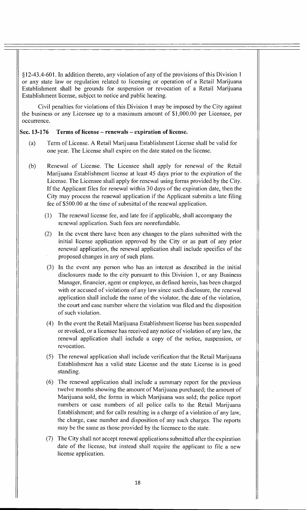§12-43.4-601. In addition thereto, any violation of any of the provisions of this Division 1 or any state law or regulation related to licensing or operation of a Retail Marijuana Establishment shall be grounds for suspension or revocation of a Retail Marijuana Establishment license, subject to notice and public hearing.

Civil penalties for violations of this Division 1 may be imposed by the City against the business or any Licensee up to a maximum amount of \$1,000.00 per Licensee, per occurrence.

## **Sec. 13-176 Terms of license — renewals — expiration of license.**

- (a) Term of License. A Retail Marijuana Establishment License shall be valid for one year. The License shall expire on the date stated on the license.
- (b) Renewal of License. The Licensee shall apply for renewal of the Retail Marijuana Establishment license at least 45 days prior to the expiration of the License. The Licensee shall apply for renewal using forms provided by the City. If the Applicant files for renewal within 30 days of the expiration date, then the City may process the renewal application if the Applicant submits a late filing fee of \$500.00 at the time of submittal of the renewal application.
	- (1) The renewal license fee, and late fee if applicable, shall accompany the renewal application. Such fees are nonrefundable.
	- (2) In the event there have been any changes to the plans submitted with the initial license application approved by the City or as part of any prior renewal application, the renewal application shall include specifics of the proposed changes in any of such plans.
	- (3) In the event any person who has an interest as described in the initial disclosures made to the city pursuant to this Division 1, or any Business Manager, financier, agent or employee, as defined herein, has been charged with or accused of violations of any law since such disclosure, the renewal application shall include the name of the violator, the date of the violation, the court and case number where the violation was filed and the disposition of such violation.
	- (4) In the event the Retail Marijuana Establishment license has been suspended or revoked, or a licensee has received any notice of violation of any law, the renewal application shall include a copy of the notice, suspension, or revocation.
	- (5) The renewal application shall include verification that the Retail Marijuana Establishment has a valid state License and the state License is in good standing.
	- (6) The renewal application shall include a summary report for the previous twelve months showing the amount of Marijuana purchased; the amount of Marijuana sold, the forms in which Marijuana was sold; the police report numbers or case numbers of all police calls to the Retail Marijuana Establishment; and for calls resulting in a charge of a violation of any law, the charge, case number and disposition of any such charges. The reports may be the same as those provided by the licensee to the state.
	- (7) The City shall not accept renewal applications submitted after the expiration date of the license, but instead shall require the applicant to file a new license application.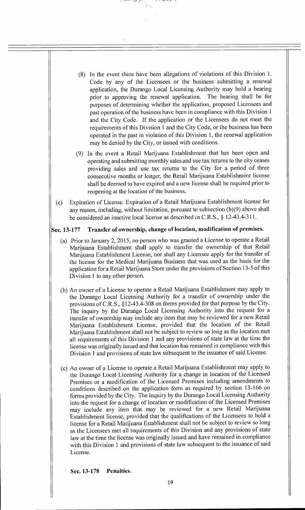- (8) In the event there have been allegations of violations of this Division 1. Code by any of the Licensees or the business submitting a renewal application, the Durango Local Licensing Authority may hold a hearing prior to approving the renewal application. The hearing shall be for purposes of determining whether the application, proposed Licensees and past operation of the business have been in compliance with this Division **<sup>1</sup>** and the City Code. If the application or the Licensees do not meet the requirements of this Division 1 and the City Code, or the business has been operated in the past in violation of this Division 1, the renewal application may be denied by the City, or issued with conditions.
- (9) In the event a Retail Marijuana Establishment that has been open and operating and submitting monthly sales and use tax returns to the city ceases providing sales and use tax returns to the City for a period of three consecutive months or longer, the Retail Marijuana Establishment license shall be deemed to have expired and a new license shall be required prior to reopening at the location of the business.
- (c) Expiration of License. Expiration of a Retail Marijuana Establishment license for any reason, including, without limitation, pursuant to subsection (b)(9) above shall be considered an inactive local license as described in C.R.S., § 12-43.4-311.

## **Sec. 13-177 Transfer of ownership, change of location, modification of premises.**

- (a) Prior to January 2, 2015, no person who was granted a License to operate a Retail Marijuana Establishment shall apply to transfer the ownership of that Retail Marijuana Establishment License, nor shall any Licensee apply for the transfer of the license for the Medical Marijuana Business that was used as the basis for the application for a Retail Marijuana Store under the provisions of Section 13-5 of this Division 1 to any other person.
- (b) An owner of a License to operate a Retail Marijuana Establishment may apply to the Durango Local Licensing Authority for a transfer of ownership under the provisions of C.R.S., §12-43.4-308 on forms provided for that purpose by the City. The inquiry by the Durango Local Licensing Authority into the request for a transfer of ownership may include any item that may be reviewed for a new Retail Marijuana Establishment License, provided that the location of the Retail Marijuana Establishment shall not be subject to review so long as the location met all requirements of this Division 1 and any provisions of state law at the time the license was originally issued and that location has remained in compliance with this Division 1 and provisions of state law subsequent to the issuance of said License.
- (c) An owner of a License to operate a Retail Marijuana Establishment may apply to the Durango Local Licensing Authority for a change in location of the Licensed Premises or a modification of the Licensed Premises including amendments to conditions described on the application form as required by section 13-166 on forms provided by the City. The inquiry by the Durango Local Licensing Authority into the request for a change of location or modification of the Licensed Premises may include any item that may be reviewed for a new Retail Marijuana Establishment license, provided that the qualifications of the Licensees to hold a license for a Retail Marijuana Establishment shall not be subject to review so long as the Licensees met all requirements of this Division and any provisions of state law at the time the license was originally issued and have remained in compliance with this Division 1 and provisions of state law subsequent to the issuance of said License.

**Sec. 13-178 Penalties.**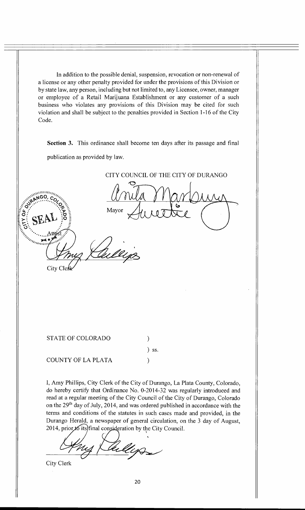In addition to the possible denial, suspension, revocation or non-renewal of a license or any other penalty provided for under the provisions of this Division or by state law, any person, including but not limited to, any Licensee, owner, manager or employee of a Retail Marijuana Establishment or any customer of a such business who violates any provisions of this Division may be cited for such violation and shall be subject to the penalties provided in Section 1-16 of the City Code.

**Section 3.** This ordinance shall become ten days after its passage and final publication as provided by law.

CITY COUNCIL OF THE CITY OF DURANGO  $\mathcal{O}_1$ Mayor City Cle STATE OF COLORADO  $\mathcal{E}$ ) ss. COUNTY OF LA PLATA  $\mathcal{E}$ 

I, Amy Phillips, City Clerk of the City of Durango, La Plata County, Colorado, do hereby certify that Ordinance No. 0-2014-32 was regularly introduced and read at a regular meeting of the City Council of the City of Durango, Colorado on the 29<sup>th</sup> day of July, 2014, and was ordered published in accordance with the terms and conditions of the statutes in such cases made and provided, in the Durango Herald, a newspaper of general circulation, on the 3 day of August, 2014, prior  $*$  its) final consideration by the City Council.

City Clerk